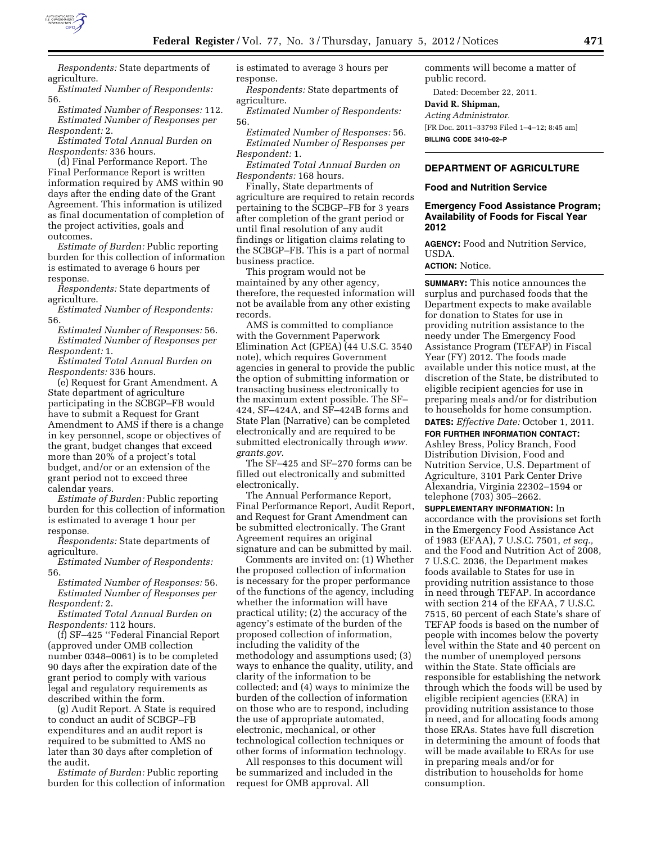

*Respondents:* State departments of agriculture.

*Estimated Number of Respondents:*  56.

*Estimated Number of Responses:* 112. *Estimated Number of Responses per Respondent:* 2.

*Estimated Total Annual Burden on Respondents:* 336 hours.

(d) Final Performance Report. The Final Performance Report is written information required by AMS within 90 days after the ending date of the Grant Agreement. This information is utilized as final documentation of completion of the project activities, goals and outcomes.

*Estimate of Burden:* Public reporting burden for this collection of information is estimated to average 6 hours per response.

*Respondents:* State departments of agriculture.

*Estimated Number of Respondents:*  56.

*Estimated Number of Responses:* 56. *Estimated Number of Responses per Respondent:* 1.

*Estimated Total Annual Burden on Respondents:* 336 hours.

(e) Request for Grant Amendment. A State department of agriculture participating in the SCBGP–FB would have to submit a Request for Grant Amendment to AMS if there is a change in key personnel, scope or objectives of the grant, budget changes that exceed more than 20% of a project's total budget, and/or or an extension of the grant period not to exceed three calendar years.

*Estimate of Burden:* Public reporting burden for this collection of information is estimated to average 1 hour per response.

*Respondents:* State departments of agriculture.

*Estimated Number of Respondents:*  56.

*Estimated Number of Responses:* 56. *Estimated Number of Responses per Respondent:* 2.

*Estimated Total Annual Burden on Respondents:* 112 hours.

(f) SF–425 ''Federal Financial Report (approved under OMB collection number 0348–0061) is to be completed 90 days after the expiration date of the grant period to comply with various legal and regulatory requirements as described within the form.

(g) Audit Report. A State is required to conduct an audit of SCBGP–FB expenditures and an audit report is required to be submitted to AMS no later than 30 days after completion of the audit.

*Estimate of Burden:* Public reporting burden for this collection of information is estimated to average 3 hours per response.

*Respondents:* State departments of agriculture.

*Estimated Number of Respondents:*  56.

*Estimated Number of Responses:* 56. *Estimated Number of Responses per Respondent:* 1.

*Estimated Total Annual Burden on Respondents:* 168 hours.

Finally, State departments of agriculture are required to retain records pertaining to the SCBGP–FB for 3 years after completion of the grant period or until final resolution of any audit findings or litigation claims relating to the SCBGP–FB. This is a part of normal business practice.

This program would not be maintained by any other agency, therefore, the requested information will not be available from any other existing records.

AMS is committed to compliance with the Government Paperwork Elimination Act (GPEA) (44 U.S.C. 3540 note), which requires Government agencies in general to provide the public the option of submitting information or transacting business electronically to the maximum extent possible. The SF– 424, SF–424A, and SF–424B forms and State Plan (Narrative) can be completed electronically and are required to be submitted electronically through *[www.](http://www.grants.gov) [grants.gov.](http://www.grants.gov)* 

The SF–425 and SF–270 forms can be filled out electronically and submitted electronically.

The Annual Performance Report, Final Performance Report, Audit Report, and Request for Grant Amendment can be submitted electronically. The Grant Agreement requires an original signature and can be submitted by mail.

Comments are invited on: (1) Whether the proposed collection of information is necessary for the proper performance of the functions of the agency, including whether the information will have practical utility; (2) the accuracy of the agency's estimate of the burden of the proposed collection of information, including the validity of the methodology and assumptions used; (3) ways to enhance the quality, utility, and clarity of the information to be collected; and (4) ways to minimize the burden of the collection of information on those who are to respond, including the use of appropriate automated, electronic, mechanical, or other technological collection techniques or other forms of information technology.

All responses to this document will be summarized and included in the request for OMB approval. All

comments will become a matter of public record.

Dated: December 22, 2011.

# **David R. Shipman,**

*Acting Administrator.*  [FR Doc. 2011–33793 Filed 1–4–12; 8:45 am] **BILLING CODE 3410–02–P** 

# **DEPARTMENT OF AGRICULTURE**

#### **Food and Nutrition Service**

## **Emergency Food Assistance Program; Availability of Foods for Fiscal Year 2012**

**AGENCY:** Food and Nutrition Service, USDA.

**ACTION:** Notice.

**SUMMARY:** This notice announces the surplus and purchased foods that the Department expects to make available for donation to States for use in providing nutrition assistance to the needy under The Emergency Food Assistance Program (TEFAP) in Fiscal Year (FY) 2012. The foods made available under this notice must, at the discretion of the State, be distributed to eligible recipient agencies for use in preparing meals and/or for distribution to households for home consumption. **DATES:** *Effective Date:* October 1, 2011.

**FOR FURTHER INFORMATION CONTACT:**  Ashley Bress, Policy Branch, Food Distribution Division, Food and Nutrition Service, U.S. Department of Agriculture, 3101 Park Center Drive Alexandria, Virginia 22302–1594 or telephone (703) 305–2662.

**SUPPLEMENTARY INFORMATION:** In

accordance with the provisions set forth in the Emergency Food Assistance Act of 1983 (EFAA), 7 U.S.C. 7501, *et seq.,*  and the Food and Nutrition Act of 2008, 7 U.S.C. 2036, the Department makes foods available to States for use in providing nutrition assistance to those in need through TEFAP. In accordance with section 214 of the EFAA, 7 U.S.C. 7515, 60 percent of each State's share of TEFAP foods is based on the number of people with incomes below the poverty level within the State and 40 percent on the number of unemployed persons within the State. State officials are responsible for establishing the network through which the foods will be used by eligible recipient agencies (ERA) in providing nutrition assistance to those in need, and for allocating foods among those ERAs. States have full discretion in determining the amount of foods that will be made available to ERAs for use in preparing meals and/or for distribution to households for home consumption.